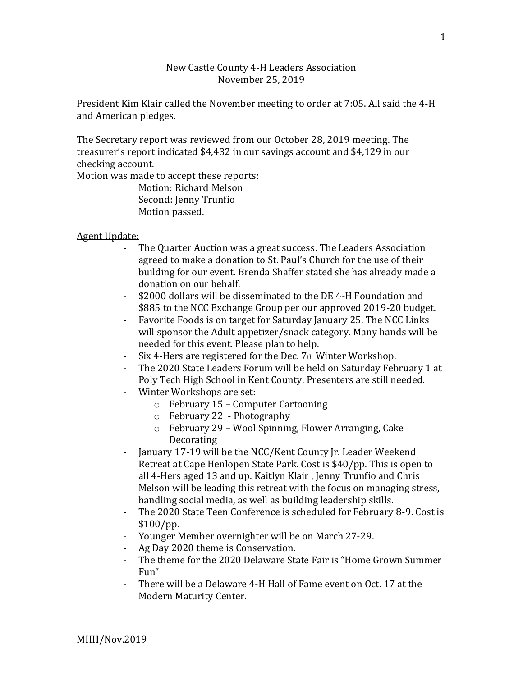## New Castle County 4-H Leaders Association November 25, 2019

President Kim Klair called the November meeting to order at 7:05. All said the 4-H and American pledges.

The Secretary report was reviewed from our October 28, 2019 meeting. The treasurer's report indicated \$4,432 in our savings account and \$4,129 in our checking account.

Motion was made to accept these reports:

Motion: Richard Melson Second: Jenny Trunfio Motion passed.

## Agent Update:

- The Quarter Auction was a great success. The Leaders Association agreed to make a donation to St. Paul's Church for the use of their building for our event. Brenda Shaffer stated she has already made a donation on our behalf.
- \$2000 dollars will be disseminated to the DE 4-H Foundation and \$885 to the NCC Exchange Group per our approved 2019-20 budget.
- Favorite Foods is on target for Saturday January 25. The NCC Links will sponsor the Adult appetizer/snack category. Many hands will be needed for this event. Please plan to help.
- Six 4-Hers are registered for the Dec.  $7<sub>th</sub>$  Winter Workshop.
- The 2020 State Leaders Forum will be held on Saturday February 1 at Poly Tech High School in Kent County. Presenters are still needed.
- Winter Workshops are set:
	- o February 15 Computer Cartooning
	- o February 22 Photography
	- o February 29 Wool Spinning, Flower Arranging, Cake Decorating
- January 17-19 will be the NCC/Kent County Jr. Leader Weekend Retreat at Cape Henlopen State Park. Cost is \$40/pp. This is open to all 4-Hers aged 13 and up. Kaitlyn Klair , Jenny Trunfio and Chris Melson will be leading this retreat with the focus on managing stress, handling social media, as well as building leadership skills.
- The 2020 State Teen Conference is scheduled for February 8-9. Cost is \$100/pp.
- Younger Member overnighter will be on March 27-29.
- Ag Day 2020 theme is Conservation.
- The theme for the 2020 Delaware State Fair is "Home Grown Summer Fun"
- There will be a Delaware 4-H Hall of Fame event on Oct. 17 at the Modern Maturity Center.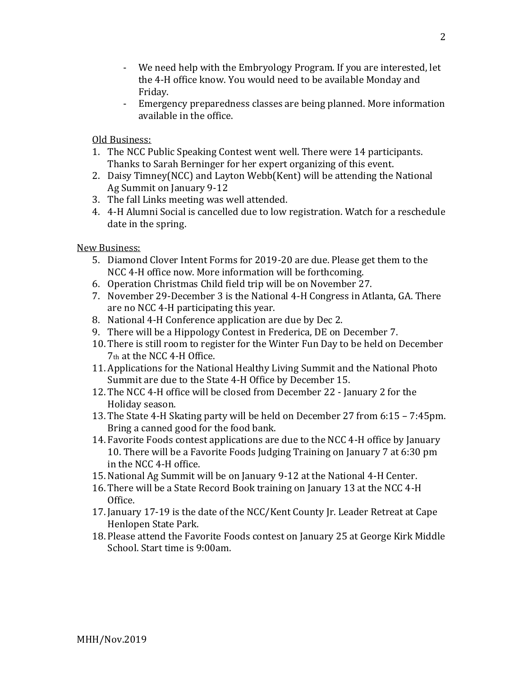- We need help with the Embryology Program. If you are interested, let the 4-H office know. You would need to be available Monday and Friday.
- Emergency preparedness classes are being planned. More information available in the office.

Old Business:

- 1. The NCC Public Speaking Contest went well. There were 14 participants. Thanks to Sarah Berninger for her expert organizing of this event.
- 2. Daisy Timney(NCC) and Layton Webb(Kent) will be attending the National Ag Summit on January 9-12
- 3. The fall Links meeting was well attended.
- 4. 4-H Alumni Social is cancelled due to low registration. Watch for a reschedule date in the spring.

New Business:

- 5. Diamond Clover Intent Forms for 2019-20 are due. Please get them to the NCC 4-H office now. More information will be forthcoming.
- 6. Operation Christmas Child field trip will be on November 27.
- 7. November 29-December 3 is the National 4-H Congress in Atlanta, GA. There are no NCC 4-H participating this year.
- 8. National 4-H Conference application are due by Dec 2.
- 9. There will be a Hippology Contest in Frederica, DE on December 7.
- 10. There is still room to register for the Winter Fun Day to be held on December 7th at the NCC 4-H Office.
- 11. Applications for the National Healthy Living Summit and the National Photo Summit are due to the State 4-H Office by December 15.
- 12. The NCC 4-H office will be closed from December 22 January 2 for the Holiday season.
- 13. The State 4-H Skating party will be held on December 27 from 6:15 7:45pm. Bring a canned good for the food bank.
- 14. Favorite Foods contest applications are due to the NCC 4-H office by January 10. There will be a Favorite Foods Judging Training on January 7 at 6:30 pm in the NCC 4-H office.
- 15.National Ag Summit will be on January 9-12 at the National 4-H Center.
- 16. There will be a State Record Book training on January 13 at the NCC 4-H Office.
- 17. January 17-19 is the date of the NCC/Kent County Jr. Leader Retreat at Cape Henlopen State Park.
- 18. Please attend the Favorite Foods contest on January 25 at George Kirk Middle School. Start time is 9:00am.